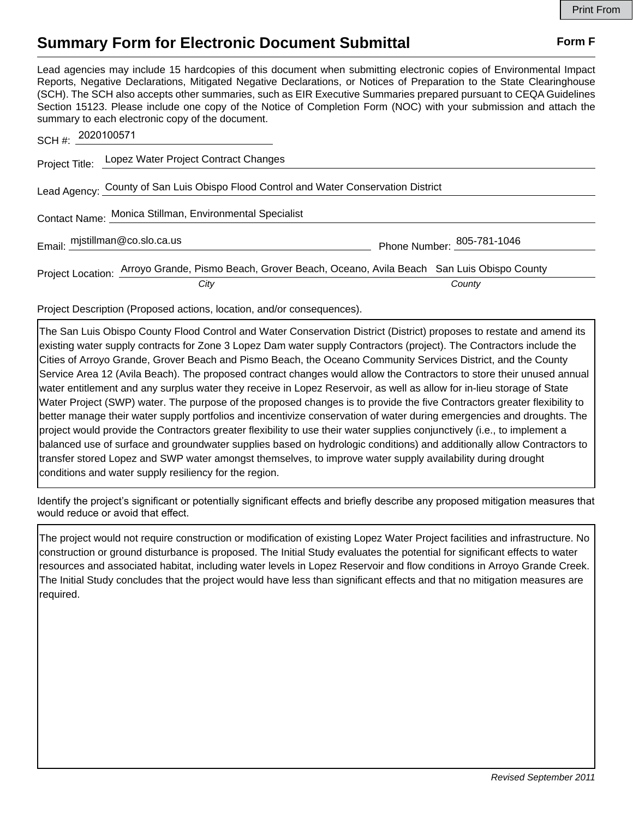## **Summary Form for Electronic Document Submittal Form F Form F**

Lead agencies may include 15 hardcopies of this document when submitting electronic copies of Environmental Impact Reports, Negative Declarations, Mitigated Negative Declarations, or Notices of Preparation to the State Clearinghouse (SCH). The SCH also accepts other summaries, such as EIR Executive Summaries prepared pursuant to CEQA Guidelines Section 15123. Please include one copy of the Notice of Completion Form (NOC) with your submission and attach the summary to each electronic copy of the document.

| SCH #: 2020100571                                                                    |                                                                                                                |                            |
|--------------------------------------------------------------------------------------|----------------------------------------------------------------------------------------------------------------|----------------------------|
|                                                                                      | Project Title: Lopez Water Project Contract Changes                                                            |                            |
| Lead Agency: County of San Luis Obispo Flood Control and Water Conservation District |                                                                                                                |                            |
| Contact Name: Monica Stillman, Environmental Specialist                              |                                                                                                                |                            |
| Email: mjstillman@co.slo.ca.us                                                       |                                                                                                                | Phone Number: 805-781-1046 |
|                                                                                      | Project Location: Arroyo Grande, Pismo Beach, Grover Beach, Oceano, Avila Beach San Luis Obispo County<br>City | County                     |

Project Description (Proposed actions, location, and/or consequences).

The San Luis Obispo County Flood Control and Water Conservation District (District) proposes to restate and amend its existing water supply contracts for Zone 3 Lopez Dam water supply Contractors (project). The Contractors include the Cities of Arroyo Grande, Grover Beach and Pismo Beach, the Oceano Community Services District, and the County Service Area 12 (Avila Beach). The proposed contract changes would allow the Contractors to store their unused annual water entitlement and any surplus water they receive in Lopez Reservoir, as well as allow for in-lieu storage of State Water Project (SWP) water. The purpose of the proposed changes is to provide the five Contractors greater flexibility to better manage their water supply portfolios and incentivize conservation of water during emergencies and droughts. The project would provide the Contractors greater flexibility to use their water supplies conjunctively (i.e., to implement a balanced use of surface and groundwater supplies based on hydrologic conditions) and additionally allow Contractors to transfer stored Lopez and SWP water amongst themselves, to improve water supply availability during drought conditions and water supply resiliency for the region.

Identify the project's significant or potentially significant effects and briefly describe any proposed mitigation measures that would reduce or avoid that effect.

The project would not require construction or modification of existing Lopez Water Project facilities and infrastructure. No construction or ground disturbance is proposed. The Initial Study evaluates the potential for significant effects to water resources and associated habitat, including water levels in Lopez Reservoir and flow conditions in Arroyo Grande Creek. The Initial Study concludes that the project would have less than significant effects and that no mitigation measures are required.